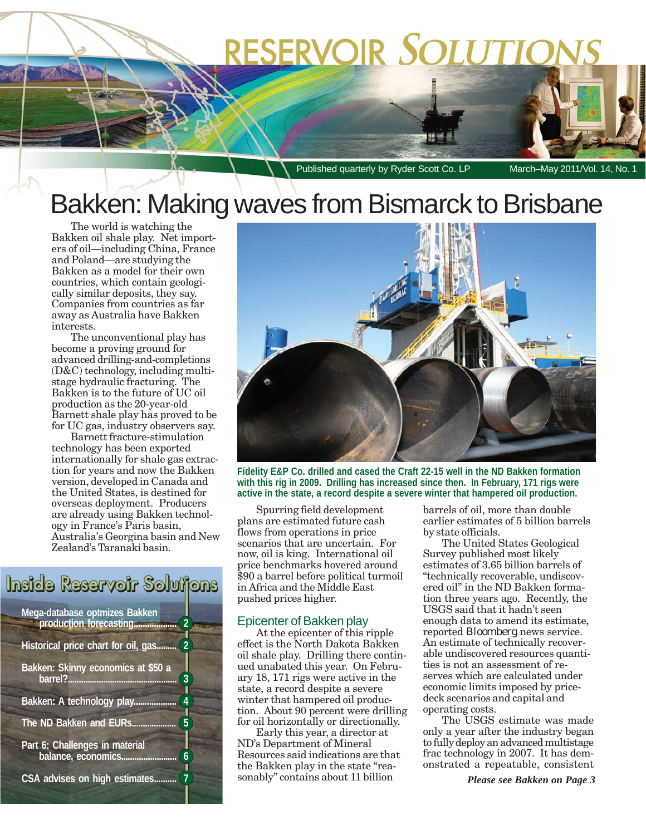# **RESERVOIR SOLUTIOI**

Published quarterly by Ryder Scott Co. LP March–May 2011/Vol. 14, No.

## Bakken: Making waves from Bismarck to Brisbane

The world is watching the Bakken oil shale play. Net importers of oil—including China, France and Poland—are studying the Bakken as a model for their own countries, which contain geologically similar deposits, they say. Companies from countries as far away as Australia have Bakken interests.

The unconventional play has become a proving ground for advanced drilling-and-completions (D&C) technology, including multistage hydraulic fracturing. The Bakken is to the future of UC oil production as the 20-year-old Barnett shale play has proved to be for UC gas, industry observers say.

Barnett fracture-stimulation technology has been exported internationally for shale gas extraction for years and now the Bakken version, developed in Canada and the United States, is destined for overseas deployment. Producers are already using Bakken technology in France's Paris basin, Australia's Georgina basin and New Zealand's Taranaki basin.

### Inside Reservoir Solutions **Mega-database optmizes Bakken production forecasting................... 2 Historical price chart for oil, gas......... 2 Bakken: Skinny economics at \$50 a barrel?................................................. 3**

**Bakken: A technology play................... 4**

**The ND Bakken and EURs.................... 5**

**Part 6: Challenges in material balance, economics......................... 6**

**CSA advises on high estimates.......... 7**



**Fidelity E&P Co. drilled and cased the Craft 22-15 well in the ND Bakken formation with this rig in 2009. Drilling has increased since then. In February, 171 rigs were active in the state, a record despite a severe winter that hampered oil production.**

Spurring field development plans are estimated future cash flows from operations in price scenarios that are uncertain. For now, oil is king. International oil price benchmarks hovered around \$90 a barrel before political turmoil in Africa and the Middle East pushed prices higher.

### Epicenter of Bakken play

At the epicenter of this ripple effect is the North Dakota Bakken oil shale play. Drilling there continued unabated this year. On February 18, 171 rigs were active in the state, a record despite a severe winter that hampered oil production. About 90 percent were drilling for oil horizontally or directionally.

Early this year, a director at ND's Department of Mineral Resources said indications are that the Bakken play in the state "reasonably" contains about 11 billion

barrels of oil, more than double earlier estimates of 5 billion barrels by state officials.

The United States Geological Survey published most likely estimates of 3.65 billion barrels of "technically recoverable, undiscovered oil" in the ND Bakken formation three years ago. Recently, the USGS said that it hadn't seen enough data to amend its estimate, reported *Bloomberg* news service. An estimate of technically recoverable undiscovered resources quantities is not an assessment of reserves which are calculated under economic limits imposed by pricedeck scenarios and capital and operating costs.

The USGS estimate was made only a year after the industry began to fully deploy an advanced multistage frac technology in 2007. It has demonstrated a repeatable, consistent

*Please see Bakken on Page 3*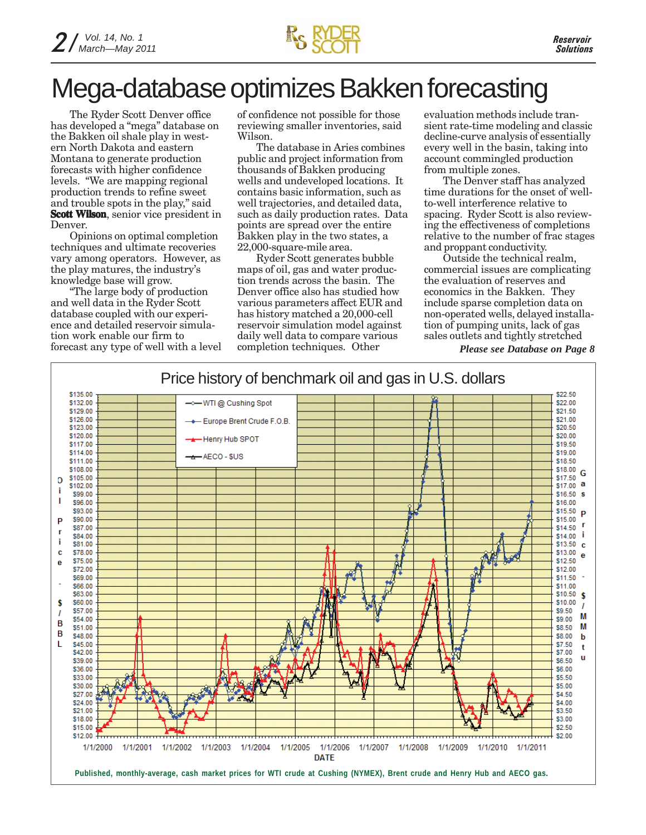### Mega-database optimizes Bakken forecasting

The Ryder Scott Denver office has developed a "mega" database on the Bakken oil shale play in western North Dakota and eastern Montana to generate production forecasts with higher confidence levels. "We are mapping regional production trends to refine sweet and trouble spots in the play," said **Scott Wilson**, senior vice president in Denver.

Opinions on optimal completion techniques and ultimate recoveries vary among operators. However, as the play matures, the industry's knowledge base will grow.

"The large body of production and well data in the Ryder Scott database coupled with our experience and detailed reservoir simulation work enable our firm to forecast any type of well with a level of confidence not possible for those reviewing smaller inventories, said Wilson.

The database in Aries combines public and project information from thousands of Bakken producing wells and undeveloped locations. It contains basic information, such as well trajectories, and detailed data, such as daily production rates. Data points are spread over the entire Bakken play in the two states, a 22,000-square-mile area.

Ryder Scott generates bubble maps of oil, gas and water production trends across the basin. The Denver office also has studied how various parameters affect EUR and has history matched a 20,000-cell reservoir simulation model against daily well data to compare various completion techniques. Other

evaluation methods include transient rate-time modeling and classic decline-curve analysis of essentially every well in the basin, taking into account commingled production from multiple zones.

The Denver staff has analyzed time durations for the onset of wellto-well interference relative to spacing. Ryder Scott is also reviewing the effectiveness of completions relative to the number of frac stages and proppant conductivity.

Outside the technical realm, commercial issues are complicating the evaluation of reserves and economics in the Bakken. They include sparse completion data on non-operated wells, delayed installation of pumping units, lack of gas sales outlets and tightly stretched

*Please see Database on Page 8*

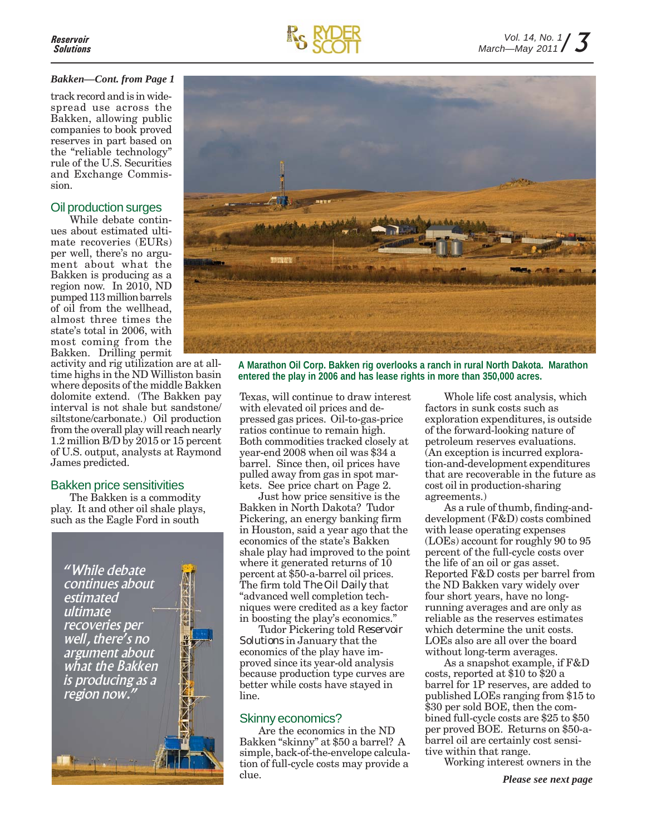### *Bakken—Cont. from Page 1*

track record and is in widespread use across the Bakken, allowing public companies to book proved reserves in part based on the "reliable technology" rule of the U.S. Securities and Exchange Commission.

### Oil production surges

While debate continues about estimated ultimate recoveries (EURs) per well, there's no argument about what the Bakken is producing as a region now. In 2010, ND pumped 113 million barrels of oil from the wellhead, almost three times the state's total in 2006, with most coming from the Bakken. Drilling permit

activity and rig utilization are at alltime highs in the ND Williston basin where deposits of the middle Bakken dolomite extend. (The Bakken pay interval is not shale but sandstone/ siltstone/carbonate.) Oil production from the overall play will reach nearly 1.2 million B/D by 2015 or 15 percent of U.S. output, analysts at Raymond James predicted.

### Bakken price sensitivities

The Bakken is a commodity play. It and other oil shale plays, such as the Eagle Ford in south

*"While debate continues about estimated ultimate recoveries per well, there's no argument about what the Bakken is producing as a region now."*



**A Marathon Oil Corp. Bakken rig overlooks a ranch in rural North Dakota. Marathon entered the play in 2006 and has lease rights in more than 350,000 acres.**

Texas, will continue to draw interest with elevated oil prices and depressed gas prices. Oil-to-gas-price ratios continue to remain high. Both commodities tracked closely at year-end 2008 when oil was \$34 a barrel. Since then, oil prices have pulled away from gas in spot markets. See price chart on Page 2.

Just how price sensitive is the Bakken in North Dakota? Tudor Pickering, an energy banking firm in Houston, said a year ago that the economics of the state's Bakken shale play had improved to the point where it generated returns of 10 percent at \$50-a-barrel oil prices. The firm told *The Oil Daily* that "advanced well completion techniques were credited as a key factor in boosting the play's economics."

Tudor Pickering told *Reservoir Solutions* in January that the economics of the play have improved since its year-old analysis because production type curves are better while costs have stayed in line.

### Skinny economics?

Are the economics in the ND Bakken "skinny" at \$50 a barrel? A simple, back-of-the-envelope calculation of full-cycle costs may provide a clue.

Whole life cost analysis, which factors in sunk costs such as exploration expenditures, is outside of the forward-looking nature of petroleum reserves evaluations. (An exception is incurred exploration-and-development expenditures that are recoverable in the future as cost oil in production-sharing agreements.)

As a rule of thumb, finding-anddevelopment (F&D) costs combined with lease operating expenses (LOEs) account for roughly 90 to 95 percent of the full-cycle costs over the life of an oil or gas asset. Reported F&D costs per barrel from the ND Bakken vary widely over four short years, have no longrunning averages and are only as reliable as the reserves estimates which determine the unit costs. LOEs also are all over the board without long-term averages.

As a snapshot example, if F&D costs, reported at \$10 to \$20 a barrel for 1P reserves, are added to published LOEs ranging from \$15 to \$30 per sold BOE, then the combined full-cycle costs are \$25 to \$50 per proved BOE. Returns on \$50-abarrel oil are certainly cost sensitive within that range.

Working interest owners in the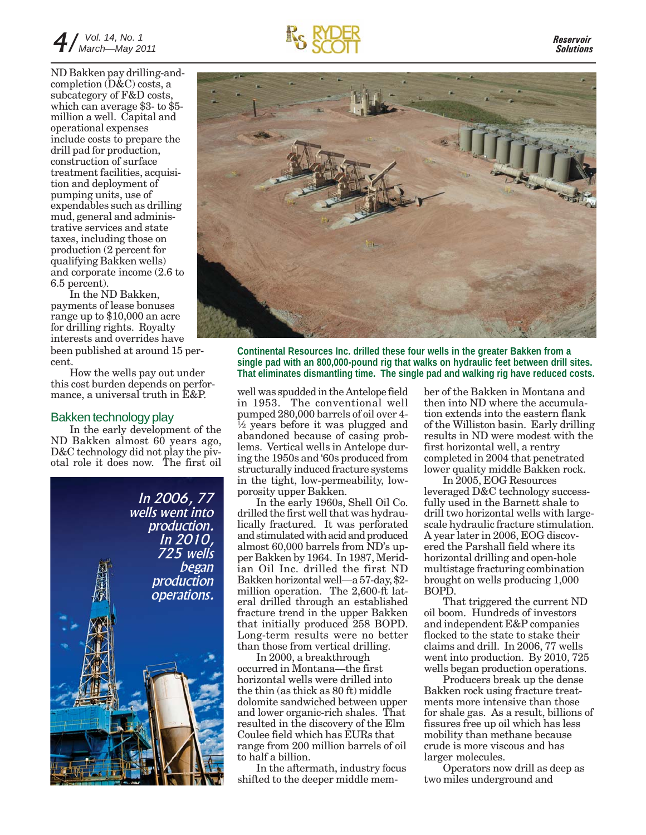### 4 */ March—May 2011 Vol. 14, No. 1*

*Reservoir Solutions*

ND Bakken pay drilling-andcompletion (D&C) costs, a subcategory of F&D costs, which can average \$3- to \$5 million a well. Capital and operational expenses include costs to prepare the drill pad for production, construction of surface treatment facilities, acquisition and deployment of pumping units, use of expendables such as drilling mud, general and administrative services and state taxes, including those on production (2 percent for qualifying Bakken wells) and corporate income (2.6 to 6.5 percent).

In the ND Bakken, payments of lease bonuses range up to \$10,000 an acre for drilling rights. Royalty interests and overrides have been published at around 15 percent.

How the wells pay out under this cost burden depends on performance, a universal truth in E&P.

### Bakken technology play

In the early development of the ND Bakken almost 60 years ago, D&C technology did not play the pivotal role it does now. The first oil





**Continental Resources Inc. drilled these four wells in the greater Bakken from a single pad with an 800,000-pound rig that walks on hydraulic feet between drill sites. That eliminates dismantling time. The single pad and walking rig have reduced costs.**

well was spudded in the Antelope field in 1953. The conventional well pumped 280,000 barrels of oil over 4-  $\frac{1}{2}$  years before it was plugged and abandoned because of casing problems. Vertical wells in Antelope during the 1950s and '60s produced from structurally induced fracture systems in the tight, low-permeability, lowporosity upper Bakken.

In the early 1960s, Shell Oil Co. drilled the first well that was hydraulically fractured. It was perforated and stimulated with acid and produced almost 60,000 barrels from ND's upper Bakken by 1964. In 1987, Meridian Oil Inc. drilled the first ND Bakken horizontal well—a 57-day, \$2 million operation. The 2,600-ft lateral drilled through an established fracture trend in the upper Bakken that initially produced 258 BOPD. Long-term results were no better than those from vertical drilling.

In 2000, a breakthrough occurred in Montana—the first horizontal wells were drilled into the thin (as thick as 80 ft) middle dolomite sandwiched between upper and lower organic-rich shales. That resulted in the discovery of the Elm Coulee field which has EURs that range from 200 million barrels of oil to half a billion.

In the aftermath, industry focus shifted to the deeper middle member of the Bakken in Montana and then into ND where the accumulation extends into the eastern flank of the Williston basin. Early drilling results in ND were modest with the first horizontal well, a rentry completed in 2004 that penetrated lower quality middle Bakken rock.

In 2005, EOG Resources leveraged D&C technology successfully used in the Barnett shale to drill two horizontal wells with largescale hydraulic fracture stimulation. A year later in 2006, EOG discovered the Parshall field where its horizontal drilling and open-hole multistage fracturing combination brought on wells producing 1,000 BOPD.

That triggered the current ND oil boom. Hundreds of investors and independent E&P companies flocked to the state to stake their claims and drill. In 2006, 77 wells went into production. By 2010, 725 wells began production operations.

Producers break up the dense Bakken rock using fracture treatments more intensive than those for shale gas. As a result, billions of fissures free up oil which has less mobility than methane because crude is more viscous and has larger molecules.

Operators now drill as deep as two miles underground and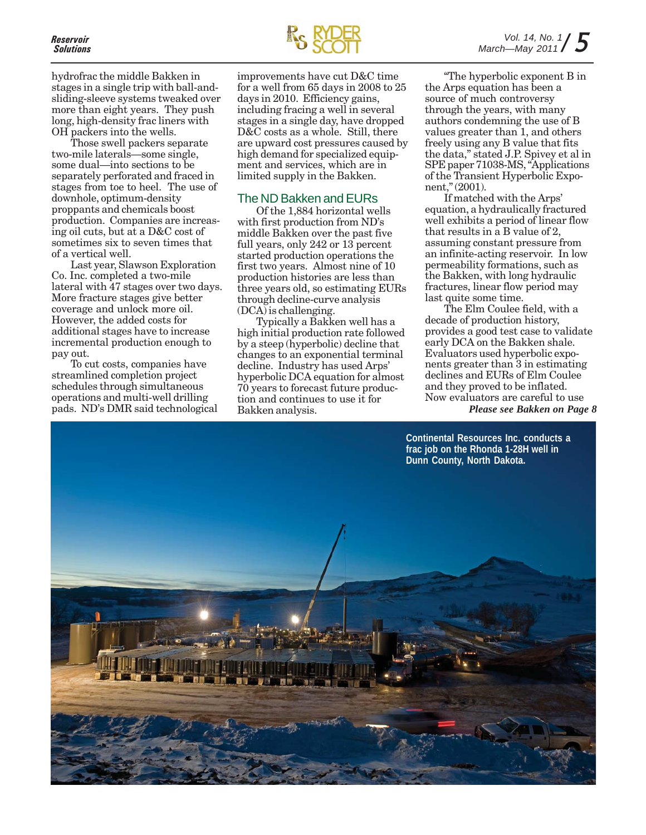hydrofrac the middle Bakken in stages in a single trip with ball-andsliding-sleeve systems tweaked over more than eight years. They push long, high-density frac liners with OH packers into the wells.

Those swell packers separate two-mile laterals—some single, some dual—into sections to be separately perforated and fraced in stages from toe to heel. The use of downhole, optimum-density proppants and chemicals boost production. Companies are increasing oil cuts, but at a D&C cost of sometimes six to seven times that of a vertical well.

Last year, Slawson Exploration Co. Inc. completed a two-mile lateral with 47 stages over two days. More fracture stages give better coverage and unlock more oil. However, the added costs for additional stages have to increase incremental production enough to pay out.

To cut costs, companies have streamlined completion project schedules through simultaneous operations and multi-well drilling pads. ND's DMR said technological



improvements have cut D&C time for a well from 65 days in 2008 to 25 days in 2010. Efficiency gains, including fracing a well in several stages in a single day, have dropped D&C costs as a whole. Still, there are upward cost pressures caused by high demand for specialized equipment and services, which are in limited supply in the Bakken.

### The ND Bakken and EURs

Of the 1,884 horizontal wells with first production from ND's middle Bakken over the past five full years, only 242 or 13 percent started production operations the first two years. Almost nine of 10 production histories are less than three years old, so estimating EURs through decline-curve analysis (DCA) is challenging.

Typically a Bakken well has a high initial production rate followed by a steep (hyperbolic) decline that changes to an exponential terminal decline. Industry has used Arps' hyperbolic DCA equation for almost 70 years to forecast future production and continues to use it for Bakken analysis.

"The hyperbolic exponent B in the Arps equation has been a source of much controversy through the years, with many authors condemning the use of B values greater than 1, and others freely using any B value that fits the data," stated J.P. Spivey et al in SPE paper 71038-MS, "Applications of the Transient Hyperbolic Exponent," (2001).

If matched with the Arps' equation, a hydraulically fractured well exhibits a period of linear flow that results in a B value of 2, assuming constant pressure from an infinite-acting reservoir. In low permeability formations, such as the Bakken, with long hydraulic fractures, linear flow period may last quite some time.

The Elm Coulee field, with a decade of production history, provides a good test case to validate early DCA on the Bakken shale. Evaluators used hyperbolic exponents greater than 3 in estimating declines and EURs of Elm Coulee and they proved to be inflated. Now evaluators are careful to use *Please see Bakken on Page 8*

**Continental Resources Inc. conducts a frac job on the Rhonda 1-28H well in Dunn County, North Dakota.**

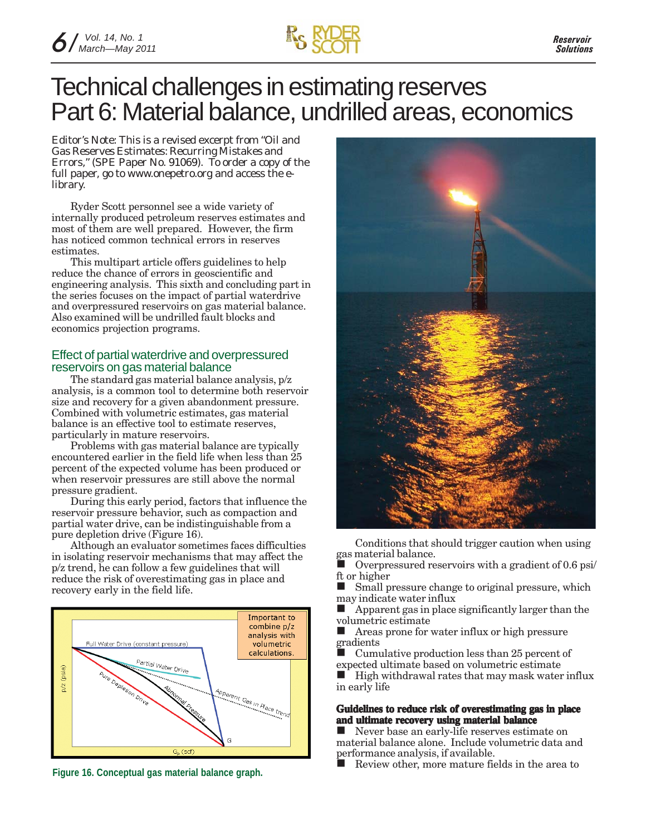### Technical challenges in estimating reserves Part 6: Material balance, undrilled areas, economics

*Editor's Note: This is a revised excerpt from "Oil and Gas Reserves Estimates: Recurring Mistakes and Errors," (SPE Paper No. 91069). To order a copy of the full paper, go to www.onepetro.org and access the elibrary.*

Ryder Scott personnel see a wide variety of internally produced petroleum reserves estimates and most of them are well prepared. However, the firm has noticed common technical errors in reserves estimates.

This multipart article offers guidelines to help reduce the chance of errors in geoscientific and engineering analysis. This sixth and concluding part in the series focuses on the impact of partial waterdrive and overpressured reservoirs on gas material balance. Also examined will be undrilled fault blocks and economics projection programs.

### Effect of partial waterdrive and overpressured reservoirs on gas material balance

The standard gas material balance analysis, p/z analysis, is a common tool to determine both reservoir size and recovery for a given abandonment pressure. Combined with volumetric estimates, gas material balance is an effective tool to estimate reserves, particularly in mature reservoirs.

Problems with gas material balance are typically encountered earlier in the field life when less than 25 percent of the expected volume has been produced or when reservoir pressures are still above the normal pressure gradient.

During this early period, factors that influence the reservoir pressure behavior, such as compaction and partial water drive, can be indistinguishable from a pure depletion drive (Figure 16).

Although an evaluator sometimes faces difficulties in isolating reservoir mechanisms that may affect the p/z trend, he can follow a few guidelines that will reduce the risk of overestimating gas in place and recovery early in the field life.





Conditions that should trigger caution when using gas material balance.

 Overpressured reservoirs with a gradient of 0.6 psi/ ft or higher

Small pressure change to original pressure, which may indicate water influx

 $\blacksquare$  Apparent gas in place significantly larger than the volumetric estimate

**Areas prone for water influx or high pressure** gradients

Cumulative production less than 25 percent of expected ultimate based on volumetric estimate

 $\blacksquare$  High withdrawal rates that may mask water influx in early life

### **Guidelines to reduce risk of overestimating gas in place and ultimate recovery using material balance**

Never base an early-life reserves estimate on material balance alone. Include volumetric data and performance analysis, if available.

Figure 16. Conceptual gas material balance graph.<br>**Figure 16. Conceptual gas material balance graph.**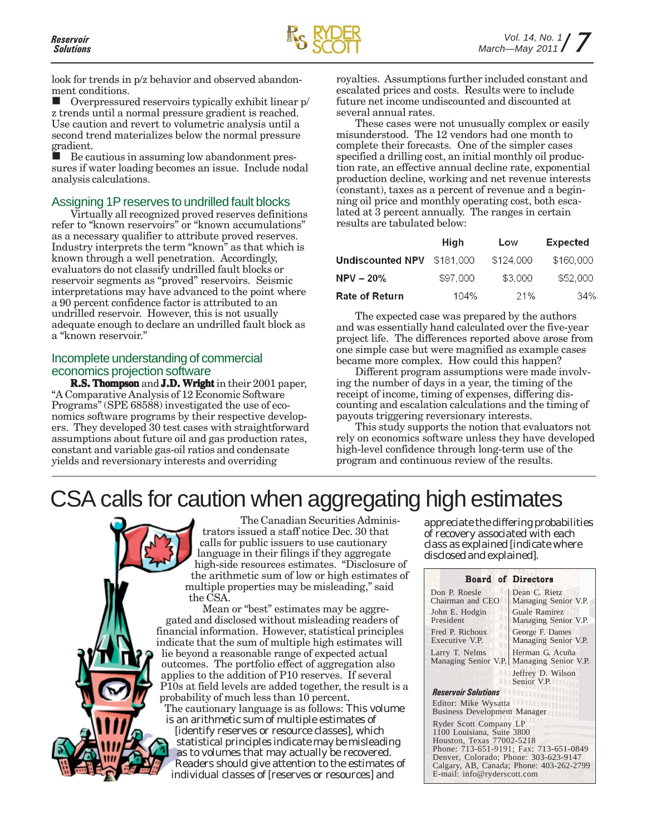look for trends in p/z behavior and observed abandonment conditions.

 Overpressured reservoirs typically exhibit linear p/ z trends until a normal pressure gradient is reached. Use caution and revert to volumetric analysis until a second trend materializes below the normal pressure gradient.

 Be cautious in assuming low abandonment pressures if water loading becomes an issue. Include nodal analysis calculations.

### Assigning 1P reserves to undrilled fault blocks

Virtually all recognized proved reserves definitions refer to "known reservoirs" or "known accumulations" as a necessary qualifier to attribute proved reserves. Industry interprets the term "known" as that which is known through a well penetration. Accordingly, evaluators do not classify undrilled fault blocks or reservoir segments as "proved" reservoirs. Seismic interpretations may have advanced to the point where a 90 percent confidence factor is attributed to an undrilled reservoir. However, this is not usually adequate enough to declare an undrilled fault block as a "known reservoir."

### Incomplete understanding of commercial economics projection software

**R.S. Thompson** and **J.D. Wright** in their 2001 paper, "A Comparative Analysis of 12 Economic Software Programs" (SPE 68588) investigated the use of economics software programs by their respective developers. They developed 30 test cases with straightforward assumptions about future oil and gas production rates, constant and variable gas-oil ratios and condensate yields and reversionary interests and overriding

royalties. Assumptions further included constant and escalated prices and costs. Results were to include future net income undiscounted and discounted at several annual rates.

These cases were not unusually complex or easily misunderstood. The 12 vendors had one month to complete their forecasts. One of the simpler cases specified a drilling cost, an initial monthly oil production rate, an effective annual decline rate, exponential production decline, working and net revenue interests (constant), taxes as a percent of revenue and a beginning oil price and monthly operating cost, both escalated at 3 percent annually. The ranges in certain results are tabulated below:

|                                                       | High     | Low       | <b>Expected</b> |
|-------------------------------------------------------|----------|-----------|-----------------|
| <code>Undiscounted NPV <math>\\$181.000</math></code> |          | \$124,000 | \$160,000       |
| NPV – 20%                                             | \$97,000 | \$3,000   | \$52,000        |
| Rate of Return                                        | 104%     | 21%       | 34%             |

The expected case was prepared by the authors and was essentially hand calculated over the five-year project life. The differences reported above arose from one simple case but were magnified as example cases became more complex. How could this happen?

Different program assumptions were made involving the number of days in a year, the timing of the receipt of income, timing of expenses, differing discounting and escalation calculations and the timing of payouts triggering reversionary interests.

This study supports the notion that evaluators not rely on economics software unless they have developed high-level confidence through long-term use of the program and continuous review of the results.

### CSA calls for caution when aggregating high estimates



The Canadian Securities Administrators issued a staff notice Dec. 30 that calls for public issuers to use cautionary language in their filings if they aggregate high-side resources estimates. "Disclosure of the arithmetic sum of low or high estimates of multiple properties may be misleading," said the CSA.

Mean or "best" estimates may be aggregated and disclosed without misleading readers of financial information. However, statistical principles indicate that the sum of multiple high estimates will lie beyond a reasonable range of expected actual outcomes. The portfolio effect of aggregation also applies to the addition of P10 reserves. If several P10s at field levels are added together, the result is a probability of much less than 10 percent. The cautionary language is as follows: *This volume is an arithmetic sum of multiple estimates of [identify reserves or resource classes], which statistical principles indicate may be misleading as to volumes that may actually be recovered. Readers should give attention to the estimates of individual classes of [reserves or resources] and*

*appreciate the differing probabilities of recovery associated with each class as explained [indicate where disclosed and explained].*

|                                                                                   | <b>Board of Directors</b>                    |  |  |
|-----------------------------------------------------------------------------------|----------------------------------------------|--|--|
| Don P. Roesle<br>Chairman and CEO                                                 | Dean C. Rietz<br>Managing Senior V.P.        |  |  |
| John E. Hodgin<br>President                                                       | <b>Guale Ramirez</b><br>Managing Senior V.P. |  |  |
| Fred P. Richoux<br>Executive V.P.                                                 | George F. Dames<br>Managing Senior V.P.      |  |  |
| Larry T. Nelms<br>Managing Senior V.P.                                            | Herman G. Acuña<br>Managing Senior V.P.      |  |  |
|                                                                                   | Jeffrey D. Wilson<br>Senior V.P.             |  |  |
| <b>Reservoir Solutions</b><br><b>Alban</b>                                        |                                              |  |  |
| Editor: Mike Wysatta<br><b>Business Development Manager</b>                       |                                              |  |  |
| Ryder Scott Company LP<br>1100 Louisiana, Suite 3800<br>Houston, Texas 77002-5218 |                                              |  |  |
| Phone: 713-651-9191; Fax: 713-651-0849                                            |                                              |  |  |
| Denver, Colorado; Phone: 303-623-9147                                             |                                              |  |  |
| Calgary, AB, Canada; Phone: 403-262-2799                                          |                                              |  |  |
| E-mail: info@ryderscott.com                                                       |                                              |  |  |